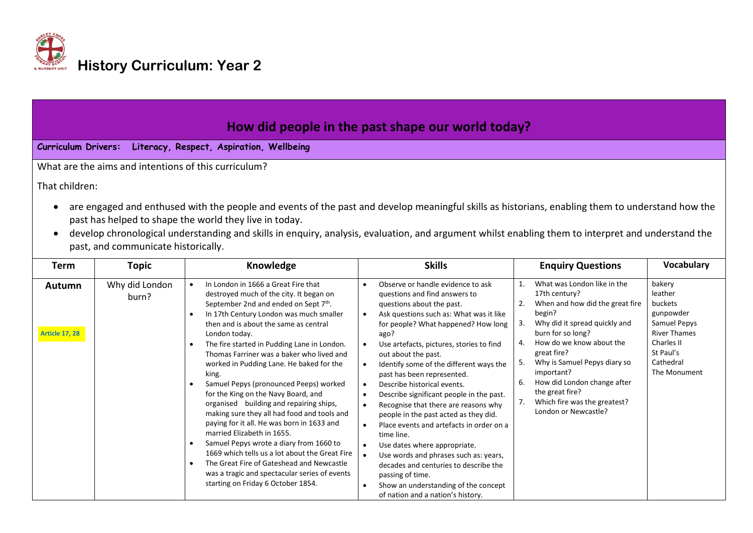

| How did people in the past shape our world today?<br><b>Curriculum Drivers:</b><br>Literacy, Respect, Aspiration, Wellbeing                                                                                                                                                                                                                                                                                               |                         |                                                                                                                                                                                                                                                                                                                                                                                                            |                                                                                                                                                                                                                                                                                                                      |                                                                                                                                                                                                                                                                           |                                                                                                                                                 |  |  |  |  |
|---------------------------------------------------------------------------------------------------------------------------------------------------------------------------------------------------------------------------------------------------------------------------------------------------------------------------------------------------------------------------------------------------------------------------|-------------------------|------------------------------------------------------------------------------------------------------------------------------------------------------------------------------------------------------------------------------------------------------------------------------------------------------------------------------------------------------------------------------------------------------------|----------------------------------------------------------------------------------------------------------------------------------------------------------------------------------------------------------------------------------------------------------------------------------------------------------------------|---------------------------------------------------------------------------------------------------------------------------------------------------------------------------------------------------------------------------------------------------------------------------|-------------------------------------------------------------------------------------------------------------------------------------------------|--|--|--|--|
|                                                                                                                                                                                                                                                                                                                                                                                                                           |                         | What are the aims and intentions of this curriculum?                                                                                                                                                                                                                                                                                                                                                       |                                                                                                                                                                                                                                                                                                                      |                                                                                                                                                                                                                                                                           |                                                                                                                                                 |  |  |  |  |
| That children:<br>are engaged and enthused with the people and events of the past and develop meaningful skills as historians, enabling them to understand how the<br>past has helped to shape the world they live in today.<br>develop chronological understanding and skills in enquiry, analysis, evaluation, and argument whilst enabling them to interpret and understand the<br>past, and communicate historically. |                         |                                                                                                                                                                                                                                                                                                                                                                                                            |                                                                                                                                                                                                                                                                                                                      |                                                                                                                                                                                                                                                                           |                                                                                                                                                 |  |  |  |  |
| Term                                                                                                                                                                                                                                                                                                                                                                                                                      | <b>Topic</b>            | Knowledge                                                                                                                                                                                                                                                                                                                                                                                                  | <b>Skills</b>                                                                                                                                                                                                                                                                                                        | <b>Enquiry Questions</b>                                                                                                                                                                                                                                                  | <b>Vocabulary</b>                                                                                                                               |  |  |  |  |
| Autumn<br><b>Article 17, 28</b>                                                                                                                                                                                                                                                                                                                                                                                           | Why did London<br>burn? | In London in 1666 a Great Fire that<br>$\bullet$<br>destroyed much of the city. It began on<br>September 2nd and ended on Sept 7th.<br>In 17th Century London was much smaller<br>$\bullet$<br>then and is about the same as central<br>London today.<br>The fire started in Pudding Lane in London.<br>$\bullet$<br>Thomas Farriner was a baker who lived and<br>worked in Pudding Lane. He baked for the | Observe or handle evidence to ask<br>questions and find answers to<br>questions about the past.<br>Ask questions such as: What was it like<br>$\bullet$<br>for people? What happened? How long<br>ago?<br>Use artefacts, pictures, stories to find<br>out about the past.<br>Identify some of the different ways the | What was London like in the<br>$\mathbf{1}$<br>17th century?<br>When and how did the great fire<br>begin?<br>Why did it spread quickly and<br>З.<br>burn for so long?<br>How do we know about the<br>4.<br>great fire?<br>Why is Samuel Pepys diary so<br>5.<br>impartant | bakery<br>leather<br>buckets<br>gunpowder<br>Samuel Pepys<br><b>River Thames</b><br><b>Charles II</b><br>St Paul's<br>Cathedral<br>The Monument |  |  |  |  |

|  |  | king.<br>Samuel Pepys (pronounced Peeps) worked<br>for the King on the Navy Board, and<br>organised building and repairing ships,<br>making sure they all had food and tools and<br>paying for it all. He was born in 1633 and<br>married Elizabeth in 1655.<br>Samuel Pepys wrote a diary from 1660 to<br>1669 which tells us a lot about the Great Fire<br>The Great Fire of Gateshead and Newcastle<br>was a tragic and spectacular series of events<br>starting on Friday 6 October 1854. | past has been represented.<br>Describe historical events.<br>Describe significant people in the past.<br>Recognise that there are reasons why<br>people in the past acted as they did.<br>Place events and artefacts in order on a<br>time line.<br>Use dates where appropriate.<br>Use words and phrases such as: years,<br>decades and centuries to describe the<br>passing of time.<br>Show an understanding of the concept<br>of nation and a nation's history. | important?<br>How did London change after<br>6.<br>the great fire?<br>Which fire was the greatest?<br>7.<br>London or Newcastle? | The Monument |
|--|--|-----------------------------------------------------------------------------------------------------------------------------------------------------------------------------------------------------------------------------------------------------------------------------------------------------------------------------------------------------------------------------------------------------------------------------------------------------------------------------------------------|---------------------------------------------------------------------------------------------------------------------------------------------------------------------------------------------------------------------------------------------------------------------------------------------------------------------------------------------------------------------------------------------------------------------------------------------------------------------|----------------------------------------------------------------------------------------------------------------------------------|--------------|
|--|--|-----------------------------------------------------------------------------------------------------------------------------------------------------------------------------------------------------------------------------------------------------------------------------------------------------------------------------------------------------------------------------------------------------------------------------------------------------------------------------------------------|---------------------------------------------------------------------------------------------------------------------------------------------------------------------------------------------------------------------------------------------------------------------------------------------------------------------------------------------------------------------------------------------------------------------------------------------------------------------|----------------------------------------------------------------------------------------------------------------------------------|--------------|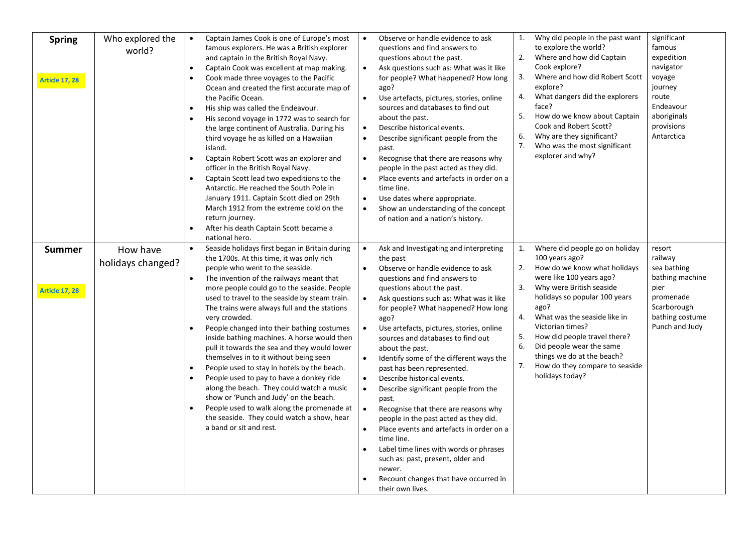| <b>Spring</b><br><b>Article 17, 28</b> | Who explored the<br>world?    | $\bullet$<br>$\bullet$<br>$\bullet$<br>$\bullet$<br>$\bullet$<br>$\bullet$ | Captain James Cook is one of Europe's most<br>famous explorers. He was a British explorer<br>and captain in the British Royal Navy.<br>Captain Cook was excellent at map making.<br>Cook made three voyages to the Pacific<br>Ocean and created the first accurate map of<br>the Pacific Ocean.<br>His ship was called the Endeavour.<br>His second voyage in 1772 was to search for<br>the large continent of Australia. During his<br>third voyage he as killed on a Hawaiian<br>island.<br>Captain Robert Scott was an explorer and<br>officer in the British Royal Navy.<br>Captain Scott lead two expeditions to the<br>Antarctic. He reached the South Pole in<br>January 1911. Captain Scott died on 29th<br>March 1912 from the extreme cold on the<br>return journey.<br>After his death Captain Scott became a<br>national hero.  | $\bullet$<br>$\bullet$<br>$\bullet$<br>$\bullet$<br>$\bullet$<br>٠<br>$\bullet$         | Observe or handle evidence to ask<br>questions and find answers to<br>questions about the past.<br>Ask questions such as: What was it like<br>for people? What happened? How long<br>ago?<br>Use artefacts, pictures, stories, online<br>sources and databases to find out<br>about the past.<br>Describe historical events.<br>Describe significant people from the<br>past.<br>Recognise that there are reasons why<br>people in the past acted as they did.<br>Place events and artefacts in order on a<br>time line.<br>Use dates where appropriate.<br>Show an understanding of the concept<br>of nation and a nation's history.                                                                                                                                                                         | 1.<br>2.<br>3.<br>4.<br>5.<br>6.<br>7. | Why did people in the past want<br>to explore the world?<br>Where and how did Captain<br>Cook explore?<br>Where and how did Robert Scott<br>explore?<br>What dangers did the explorers<br>face?<br>How do we know about Captain<br>Cook and Robert Scott?<br>Why are they significant?<br>Who was the most significant<br>explorer and why?                                          | significant<br>famous<br>expedition<br>navigator<br>voyage<br>journey<br>route<br>Endeavour<br>aboriginals<br>provisions<br>Antarctica |
|----------------------------------------|-------------------------------|----------------------------------------------------------------------------|---------------------------------------------------------------------------------------------------------------------------------------------------------------------------------------------------------------------------------------------------------------------------------------------------------------------------------------------------------------------------------------------------------------------------------------------------------------------------------------------------------------------------------------------------------------------------------------------------------------------------------------------------------------------------------------------------------------------------------------------------------------------------------------------------------------------------------------------|-----------------------------------------------------------------------------------------|---------------------------------------------------------------------------------------------------------------------------------------------------------------------------------------------------------------------------------------------------------------------------------------------------------------------------------------------------------------------------------------------------------------------------------------------------------------------------------------------------------------------------------------------------------------------------------------------------------------------------------------------------------------------------------------------------------------------------------------------------------------------------------------------------------------|----------------------------------------|--------------------------------------------------------------------------------------------------------------------------------------------------------------------------------------------------------------------------------------------------------------------------------------------------------------------------------------------------------------------------------------|----------------------------------------------------------------------------------------------------------------------------------------|
| <b>Summer</b><br><b>Article 17, 28</b> | How have<br>holidays changed? | $\bullet$<br>$\bullet$<br>$\bullet$<br>$\bullet$<br>$\bullet$              | Seaside holidays first began in Britain during<br>the 1700s. At this time, it was only rich<br>people who went to the seaside.<br>The invention of the railways meant that<br>more people could go to the seaside. People<br>used to travel to the seaside by steam train.<br>The trains were always full and the stations<br>very crowded.<br>People changed into their bathing costumes<br>inside bathing machines. A horse would then<br>pull it towards the sea and they would lower<br>themselves in to it without being seen<br>People used to stay in hotels by the beach.<br>People used to pay to have a donkey ride<br>along the beach. They could watch a music<br>show or 'Punch and Judy' on the beach.<br>People used to walk along the promenade at<br>the seaside. They could watch a show, hear<br>a band or sit and rest. | $\bullet$<br>$\bullet$<br>$\bullet$<br>$\bullet$<br>$\bullet$<br>$\bullet$<br>$\bullet$ | Ask and Investigating and interpreting<br>the past<br>Observe or handle evidence to ask<br>questions and find answers to<br>questions about the past.<br>Ask questions such as: What was it like<br>for people? What happened? How long<br>ago?<br>Use artefacts, pictures, stories, online<br>sources and databases to find out<br>about the past.<br>Identify some of the different ways the<br>past has been represented.<br>Describe historical events.<br>Describe significant people from the<br>past.<br>Recognise that there are reasons why<br>people in the past acted as they did.<br>Place events and artefacts in order on a<br>time line.<br>Label time lines with words or phrases<br>such as: past, present, older and<br>newer.<br>Recount changes that have occurred in<br>their own lives. | 1.<br>2.<br>3.<br>4.<br>5.<br>6.<br>7. | Where did people go on holiday<br>100 years ago?<br>How do we know what holidays<br>were like 100 years ago?<br>Why were British seaside<br>holidays so popular 100 years<br>ago?<br>What was the seaside like in<br>Victorian times?<br>How did people travel there?<br>Did people wear the same<br>things we do at the beach?<br>How do they compare to seaside<br>holidays today? | resort<br>railway<br>sea bathing<br>bathing machine<br>pier<br>promenade<br>Scarborough<br>bathing costume<br>Punch and Judy           |